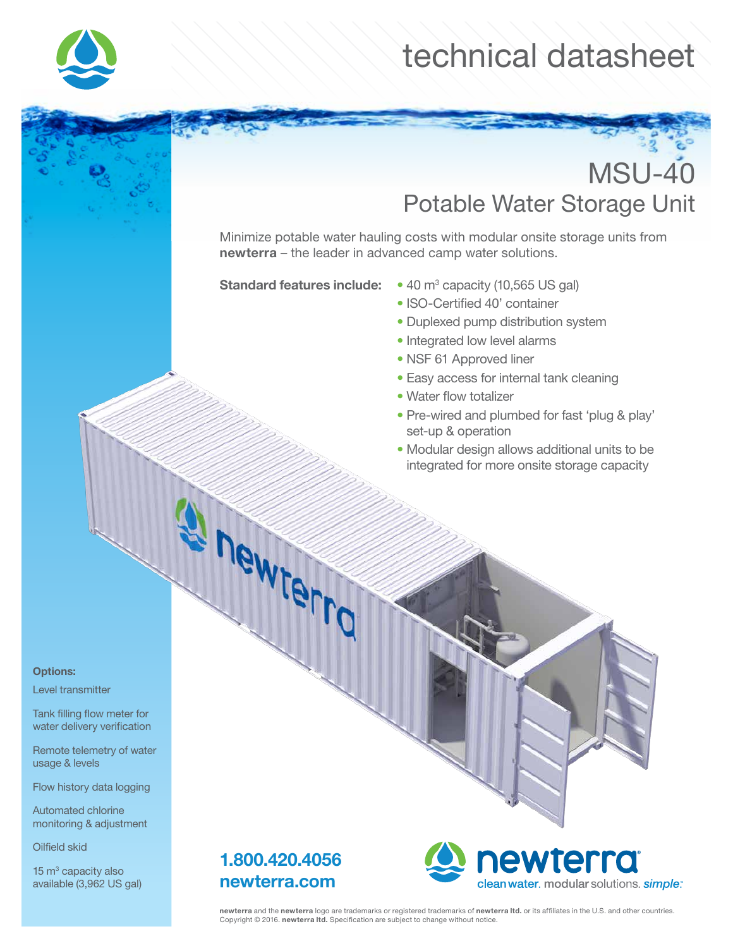

## technical datasheet

## MSU-40 Potable Water Storage Unit

Minimize potable water hauling costs with modular onsite storage units from newterra – the leader in advanced camp water solutions.

Standard features include:

- $\cdot$  40 m<sup>3</sup> capacity (10,565 US gal)
- ISO-Certified 40' container
- Duplexed pump distribution system
- Integrated low level alarms
- NSF 61 Approved liner
- Easy access for internal tank cleaning
- Water flow totalizer
- Pre-wired and plumbed for fast 'plug & play' set-up & operation
- Modular design allows additional units to be integrated for more onsite storage capacity

Options:

Level transmitter

Tank filling flow meter for water delivery verification

Remote telemetry of water usage & levels

Flow history data logging

Automated chlorine monitoring & adjustment

Oilfield skid

 $15 \text{ m}^3$  capacity also available (3,962 US gal)



newterro



newterra and the newterra logo are trademarks or registered trademarks of newterra ltd. or its affiliates in the U.S. and other countries. Copyright © 2016. newterra ltd. Specification are subject to change without notice.